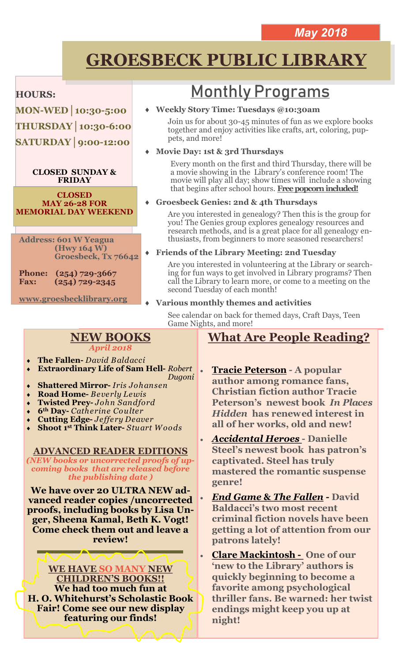## **GROESBECK PUBLIC LIBRARY**

#### **HOURS:**

**MON-WED│10:30-5:00 THURSDAY│10:30-6:00**

**SATURDAY│9:00-12:00**

#### **CLOSED SUNDAY & FRIDAY**

**CLOSED MAY 26-28 FOR MEMORIAL DAY WEEKEND**

**Address: 601 W Yeagua (Hwy 164 W) Groesbeck, Tx 76642**

**Phone: (254) 729-3667 Fax: (254) 729-2345**

**www.groesbecklibrary.org**

## Monthly Programs

#### **Weekly Story Time: Tuesdays @10:30am**

Join us for about 30-45 minutes of fun as we explore books together and enjoy activities like crafts, art, coloring, puppets, and more!

#### **Movie Day: 1st & 3rd Thursdays**

Every month on the first and third Thursday, there will be a movie showing in the Library's conference room! The movie will play all day; show times will include a showing that begins after school hours. **Free popcorn included!**

#### **Groesbeck Genies: 2nd & 4th Thursdays**

Are you interested in genealogy? Then this is the group for you! The Genies group explores genealogy resources and research methods, and is a great place for all genealogy enthusiasts, from beginners to more seasoned researchers!

#### **Friends of the Library Meeting: 2nd Tuesday**

Are you interested in volunteering at the Library or searching for fun ways to get involved in Library programs? Then call the Library to learn more, or come to a meeting on the second Tuesday of each month!

#### **Various monthly themes and activities**

See calendar on back for themed days, Craft Days, Teen Game Nights, and more!

## **NEW BOOKS**

*April 2018* 

- **The Fallen-** *David Baldacci*
- **Extraordinary Life of Sam Hell-** *Robert Dugoni*
- **Shattered Mirror-** *Iris Johansen*
- **Road Home-** *Beverly Lewis*
- **Twisted Prey-** *John Sandford*
- **6th Day-** *Catherine Coulter*
- **Cutting Edge-** *Jeffery Deaver*
- **Shoot 1st Think Later-** *Stuart W oods*

#### **ADVANCED READER EDITIONS**

*(NEW books or uncorrected proofs of upcoming books that are released before the publishing date )*

**We have over 20 ULTRA NEW advanced reader copies /uncorrected proofs, including books by Lisa Unger, Sheena Kamal, Beth K. Vogt! Come check them out and leave a review!** 

#### **WE HAVE SO MANY NEW**

**CHILDREN'S BOOKS!! We had too much fun at H. O. Whitehurst's Scholastic Book Fair! Come see our new display featuring our finds!** 

### **What Are People Reading?**

- **Tracie Peterson** *-* **A popular author among romance fans, Christian fiction author Tracie Peterson's newest book** *In Places Hidden* **has renewed interest in all of her works, old and new!**
- *Accidental Heroes* **- Danielle Steel's newest book has patron's captivated. Steel has truly mastered the romantic suspense genre!**
- *End Game* **&** *The Fallen -* **David Baldacci's two most recent criminal fiction novels have been getting a lot of attention from our patrons lately!**
- **Clare Mackintosh - One of our 'new to the Library' authors is quickly beginning to become a favorite among psychological thriller fans. Be warned: her twist endings might keep you up at night!**